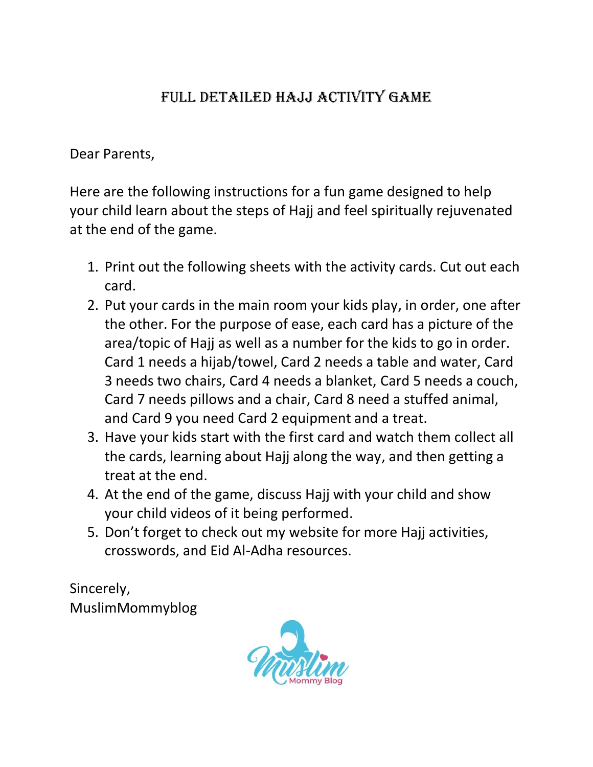## FULL DETAILED HAJJ ACTIVITY GAME

Dear Parents,

Here are the following instructions for a fun game designed to help your child learn about the steps of Hajj and feel spiritually rejuvenated at the end of the game.

- 1. Print out the following sheets with the activity cards. Cut out each card.
- 2. Put your cards in the main room your kids play, in order, one after the other. For the purpose of ease, each card has a picture of the area/topic of Hajj as well as a number for the kids to go in order. Card 1 needs a hijab/towel, Card 2 needs a table and water, Card 3 needs two chairs, Card 4 needs a blanket, Card 5 needs a couch, Card 7 needs pillows and a chair, Card 8 need a stuffed animal, and Card 9 you need Card 2 equipment and a treat.
- 3. Have your kids start with the first card and watch them collect all the cards, learning about Hajj along the way, and then getting a treat at the end.
- 4. At the end of the game, discuss Hajj with your child and show your child videos of it being performed.
- 5. Don't forget to check out my website for more Hajj activities, crosswords, and Eid Al-Adha resources.

Sincerely, MuslimMommyblog

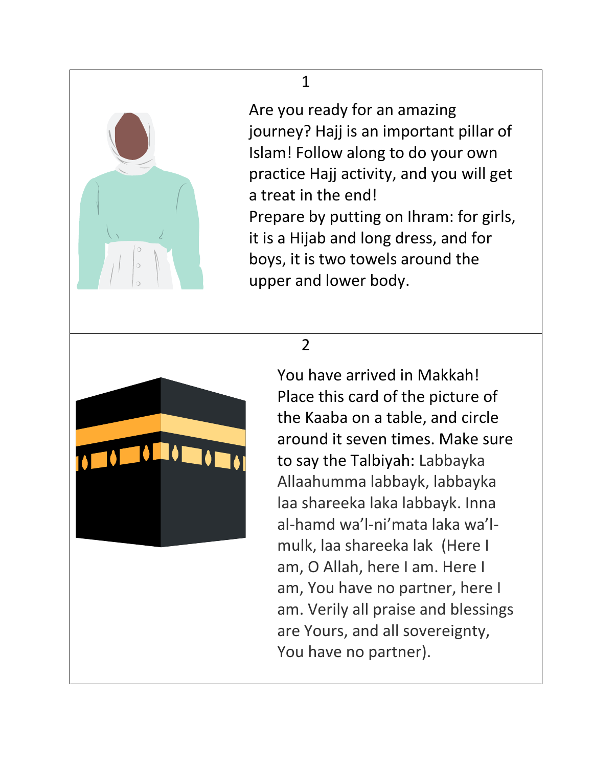

Are you ready for an amazing journey? Hajj is an important pillar of Islam! Follow along to do your own practice Hajj activity, and you will get a treat in the end! Prepare by putting on Ihram: for girls, it is a Hijab and long dress, and for boys, it is two towels around the upper and lower body.

## 2



1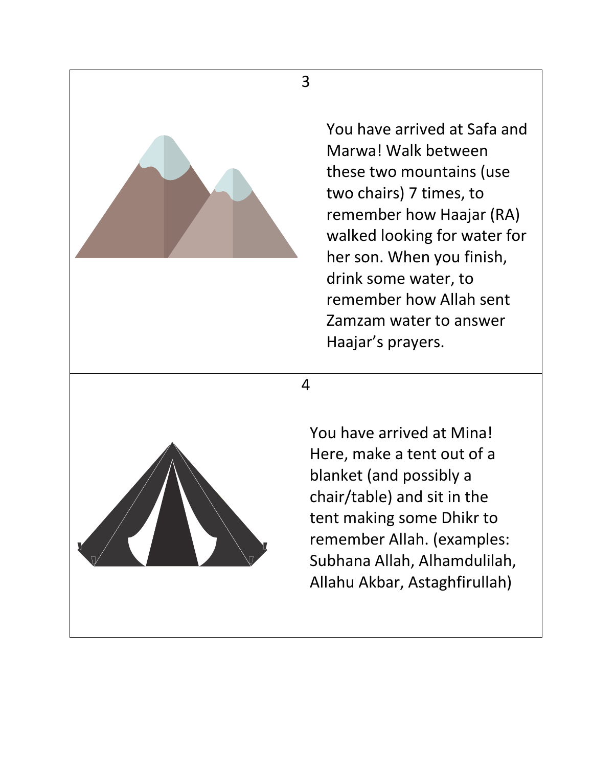

You have arrived at Safa and Marwa! Walk between these two mountains (use two chairs) 7 times, to remember how Haajar (RA) walked looking for water for her son. When you finish, drink some water, to remember how Allah sent Zamzam water to answer Haajar's prayers.

4

You have arrived at Mina! Here, make a tent out of a blanket (and possibly a chair/table) and sit in the tent making some Dhikr to remember Allah. (examples: Subhana Allah, Alhamdulilah, Allahu Akbar, Astaghfirullah)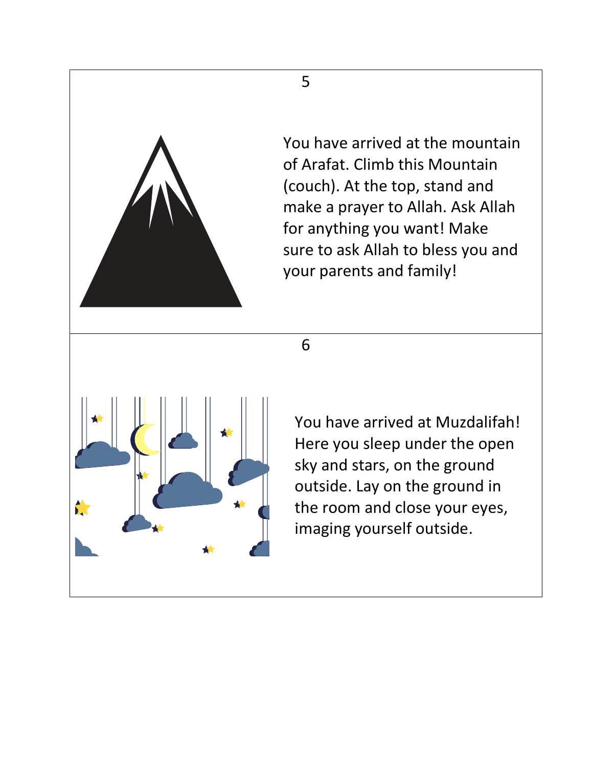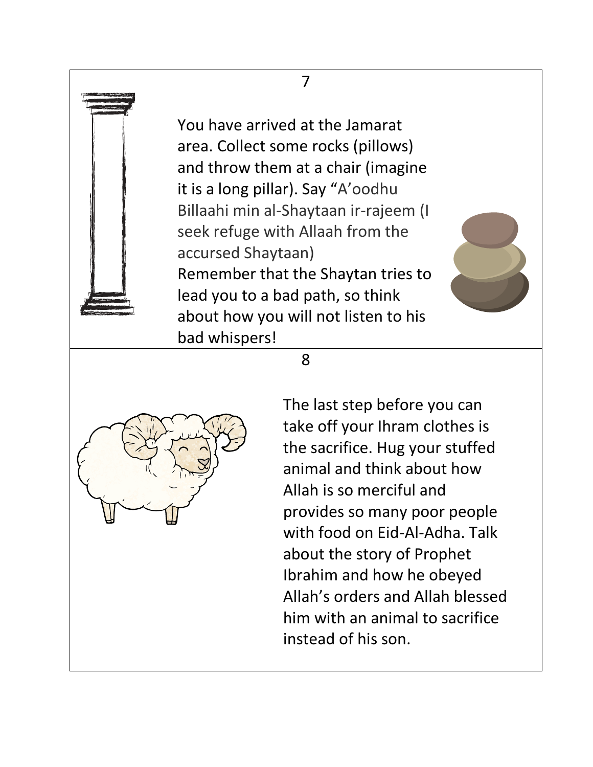## 7

You have arrived at the Jamarat area. Collect some rocks (pillows) and throw them at a chair (imagine it is a long pillar). Say "A'oodhu Billaahi min al-Shaytaan ir-rajeem (I seek refuge with Allaah from the accursed Shaytaan) Remember that the Shaytan tries to lead you to a bad path, so think about how you will not listen to his bad whispers!



8



The last step before you can take off your Ihram clothes is the sacrifice. Hug your stuffed animal and think about how Allah is so merciful and provides so many poor people with food on Eid-Al-Adha. Talk about the story of Prophet Ibrahim and how he obeyed Allah's orders and Allah blessed him with an animal to sacrifice instead of his son.